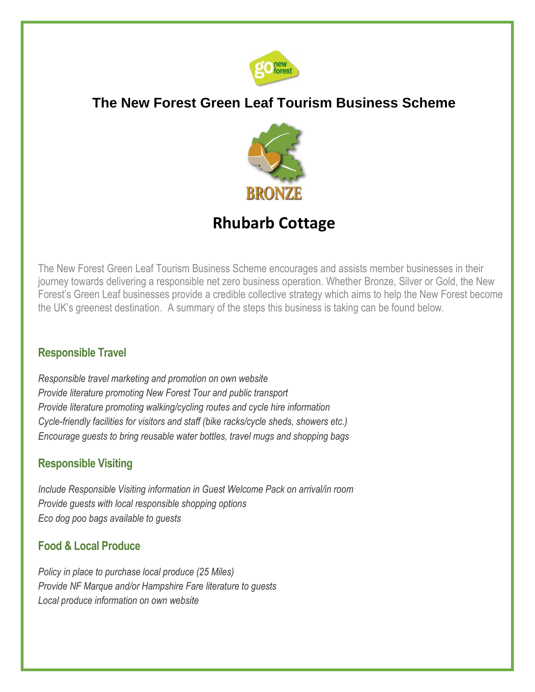

# **The New Forest Green Leaf Tourism Business Scheme**



# **Rhubarb Cottage**

The New Forest Green Leaf Tourism Business Scheme encourages and assists member businesses in their journey towards delivering a responsible net zero business operation. Whether Bronze, Silver or Gold, the New Forest's Green Leaf businesses provide a credible collective strategy which aims to help the New Forest become the UK's greenest destination. A summary of the steps this business is taking can be found below.

# **Responsible Travel**

*Responsible travel marketing and promotion on own website Provide literature promoting New Forest Tour and public transport Provide literature promoting walking/cycling routes and cycle hire information Cycle-friendly facilities for visitors and staff (bike racks/cycle sheds, showers etc.) Encourage guests to bring reusable water bottles, travel mugs and shopping bags* 

# **Responsible Visiting**

*Include Responsible Visiting information in Guest Welcome Pack on arrival/in room Provide guests with local responsible shopping options Eco dog poo bags available to guests* 

# **Food & Local Produce**

*Policy in place to purchase local produce (25 Miles) Provide NF Marque and/or Hampshire Fare literature to guests Local produce information on own website*